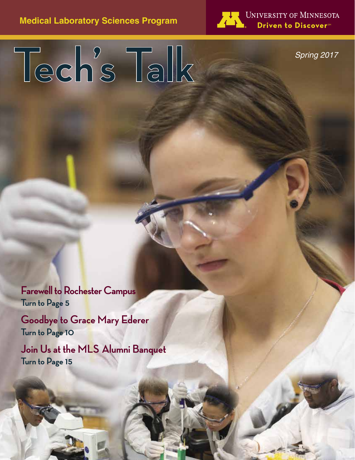

UNIVERSITY OF MINNESOTA Driven to Discover<sup>sM</sup>

*Spring 2017*

**Tech's Talk**

**Farewell to Rochester Campus Turn to Page 5**

**Goodbye to Grace Mary Ederer Turn to Page 10**

**Join Us at the MLS Alumni Banquet Turn to Page 15**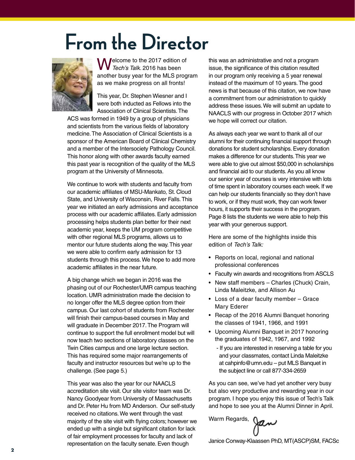# **From the Director**



Melcome to the 2017 edition of *Tech's Talk.* 2016 has been another busy year for the MLS program as we make progress on all fronts!

This year, Dr. Stephen Wiesner and I were both inducted as Fellows into the Association of Clinical Scientists. The

ACS was formed in 1949 by a group of physicians and scientists from the various fields of laboratory medicine. The Association of Clinical Scientists is a sponsor of the American Board of Clinical Chemistry and a member of the Intersociety Pathology Council. This honor along with other awards faculty earned this past year is recognition of the quality of the MLS program at the University of Minnesota.

We continue to work with students and faculty from our academic affiliates of MSU-Mankato, St. Cloud State, and University of Wisconsin, River Falls. This year we initiated an early admissions and acceptance process with our academic affiliates. Early admission processing helps students plan better for their next academic year, keeps the UM program competitive with other regional MLS programs, allows us to mentor our future students along the way. This year we were able to confirm early admission for 13 students through this process. We hope to add more academic affiliates in the near future.

A big change which we began in 2016 was the phasing out of our Rochester/UMR campus teaching location. UMR administration made the decision to no longer offer the MLS degree option from their campus. Our last cohort of students from Rochester will finish their campus-based courses in May and will graduate in December 2017. The Program will continue to support the full enrollment model but will now teach two sections of laboratory classes on the Twin Cities campus and one large lecture section. This has required some major rearrangements of faculty and instructor resources but we're up to the challenge. (See page 5.)

This year was also the year for our NAACLS accreditation site visit. Our site visitor team was Dr. Nancy Goodyear from University of Massachusetts and Dr. Peter Hu from MD Anderson. Our self-study received no citations. We went through the vast majority of the site visit with flying colors; however we ended up with a single but significant citation for lack of fair employment processes for faculty and lack of representation on the faculty senate. Even though

this was an administrative and not a program issue, the significance of this citation resulted in our program only receiving a 5 year renewal instead of the maximum of 10 years. The good news is that because of this citation, we now have a commitment from our administration to quickly address these issues. We will submit an update to NAACLS with our progress in October 2017 which we hope will correct our citation.

As always each year we want to thank all of our alumni for their continuing financial support through donations for student scholarships. Every donation makes a difference for our students. This year we were able to give out almost \$50,000 in scholarships and financial aid to our students. As you all know our senior year of courses is very intensive with lots of time spent in laboratory courses each week. If we can help our students financially so they don't have to work, or if they must work, they can work fewer hours, it supports their success in the program. Page 8 lists the students we were able to help this year with your generous support.

Here are some of the highlights inside this edition of *Tech's Talk:*

- Reports on local, regional and national professional conferences
- Faculty win awards and recognitions from ASCLS
- New staff members Charles (Chuck) Crain, Linda Maleitzke, and Allison Au
- Loss of a dear faculty member Grace Mary Ederer
- Recap of the 2016 Alumni Banquet honoring the classes of 1941, 1966, and 1991
- Upcoming Alumni Banquet in 2017 honoring the graduates of 1942, 1967, and 1992
	- If you are interested in reserving a table for you and your classmates, contact Linda Maleitzke at cahpinfo@umn.edu – put MLS Banquet in the subject line or call 877-334-2659

As you can see, we've had yet another very busy but also very productive and rewarding year in our program. I hope you enjoy this issue of Tech's Talk and hope to see you at the Alumni Dinner in April.

Warm Regards,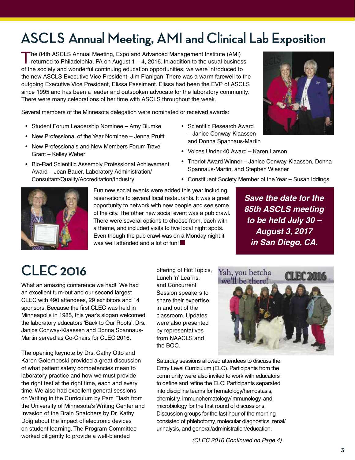# **ASCLS Annual Meeting, AMI and Clinical Lab Exposition**

The 84th ASCLS Annual Meeting, Expo and Advanced Management Institute (AMI)<br>returned to Philadelphia, PA on August 1 – 4, 2016. In addition to the usual business of the society and wonderful continuing education opportunities, we were introduced to the new ASCLS Executive Vice President, Jim Flanigan. There was a warm farewell to the outgoing Executive Vice President, Elissa Passiment. Elissa had been the EVP of ASCLS since 1995 and has been a leader and outspoken advocate for the laboratory community. There were many celebrations of her time with ASCLS throughout the week.

Several members of the Minnesota delegation were nominated or received awards:

- Student Forum Leadership Nominee Amy Blumke
- New Professional of the Year Nominee Jenna Pruitt
- New Professionals and New Members Forum Travel Grant – Kelley Weber
- Bio-Rad Scientific Assembly Professional Achievement Award – Jean Bauer, Laboratory Administration/ Consultant/Quality/Accreditation/Industry
- • Scientific Research Award – Janice Conway-Klaassen and Donna Spannaus-Martin
- • Voices Under 40 Award Karen Larson
- Theriot Award Winner Janice Conway-Klaassen, Donna Spannaus-Martin, and Stephen Wiesner
- Constituent Society Member of the Year Susan Iddings



Fun new social events were added this year including reservations to several local restaurants. It was a great opportunity to network with new people and see some of the city. The other new social event was a pub crawl. There were several options to choose from, each with a theme, and included visits to five local night spots. Even though the pub crawl was on a Monday night it was well attended and a lot of fun!

*Save the date for the 85th ASCLS meeting to be held July 30 – August 3, 2017 in San Diego, CA.*

# **CLEC 2016**

What an amazing conference we had! We had an excellent turn-out and our second largest CLEC with 490 attendees, 29 exhibitors and 14 sponsors. Because the first CLEC was held in Minneapolis in 1985, this year's slogan welcomed the laboratory educators 'Back to Our Roots'. Drs. Janice Conway-Klaassen and Donna Spannaus-Martin served as Co-Chairs for CLEC 2016.

The opening keynote by Drs. Cathy Otto and Karen Golemboski provided a great discussion of what patient safety competencies mean to laboratory practice and how we must provide the right test at the right time, each and every time. We also had excellent general sessions on Writing in the Curriculum by Pam Flash from the University of Minnesota's Writing Center and Invasion of the Brain Snatchers by Dr. Kathy Doig about the impact of electronic devices on student learning. The Program Committee worked diligently to provide a well-blended

offering of Hot Topics, Lunch 'n' Learns, and Concurrent Session speakers to share their expertise in and out of the classroom. Updates were also presented by representatives from NAACLS and the BOC.



Saturday sessions allowed attendees to discuss the Entry Level Curriculum (ELC). Participants from the community were also invited to work with educators to define and refine the ELC. Participants separated into discipline teams for hematology/hemostasis, chemistry, immunohematology/immunology, and microbiology for the first round of discussions. Discussion groups for the last hour of the morning consisted of phlebotomy, molecular diagnostics, renal/ urinalysis, and general/administration/education.

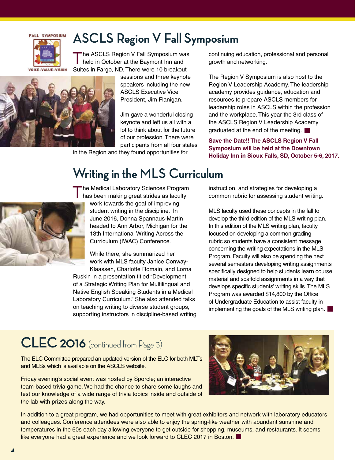

### **ASCLS Region V Fall Symposium**

The ASCLS Region V Fall Symposium was held in October at the Baymont Inn and Suites in Fargo, ND. There were 10 breakout



sessions and three keynote speakers including the new ASCLS Executive Vice President, Jim Flanigan.

Jim gave a wonderful closing keynote and left us all with a lot to think about for the future of our profession. There were participants from all four states

in the Region and they found opportunities for

continuing education, professional and personal growth and networking.

The Region V Symposium is also host to the Region V Leadership Academy. The leadership academy provides guidance, education and resources to prepare ASCLS members for leadership roles in ASCLS within the profession and the workplace. This year the 3rd class of the ASCLS Region V Leadership Academy graduated at the end of the meeting.

**Save the Date!! The ASCLS Region V Fall Symposium will be held at the Downtown Holiday Inn in Sioux Falls, SD, October 5-6, 2017.**

### **Writing in the MLS Curriculum**



**The Medical Laboratory Sciences Program** has been making great strides as faculty work towards the goal of improving student writing in the discipline. In June 2016, Donna Spannaus-Martin headed to Ann Arbor, Michigan for the 13th International Writing Across the Curriculum (IWAC) Conference.

While there, she summarized her work with MLS faculty Janice Conway-Klaassen, Charlotte Romain, and Lorna

Ruskin in a presentation titled "Development of a Strategic Writing Plan for Multilingual and Native English Speaking Students in a Medical Laboratory Curriculum." She also attended talks on teaching writing to diverse student groups, supporting instructors in discipline-based writing instruction, and strategies for developing a common rubric for assessing student writing.

MLS faculty used these concepts in the fall to develop the third edition of the MLS writing plan. In this edition of the MLS writing plan, faculty focused on developing a common grading rubric so students have a consistent message concerning the writing expectations in the MLS Program. Faculty will also be spending the next several semesters developing writing assignments specifically designed to help students learn course material and scaffold assignments in a way that develops specific students' writing skills. The MLS Program was awarded \$14,800 by the Office of Undergraduate Education to assist faculty in implementing the goals of the MLS writing plan.

# **CLEC 2016** (continued from Page 3)

The ELC Committee prepared an updated version of the ELC for both MLTs and MLSs which is available on the ASCLS website.

Friday evening's social event was hosted by Sporcle; an interactive team-based trivia game. We had the chance to share some laughs and test our knowledge of a wide range of trivia topics inside and outside of the lab with prizes along the way.



In addition to a great program, we had opportunities to meet with great exhibitors and network with laboratory educators and colleagues. Conference attendees were also able to enjoy the spring-like weather with abundant sunshine and temperatures in the 60s each day allowing everyone to get outside for shopping, museums, and restaurants. It seems like everyone had a great experience and we look forward to CLEC 2017 in Boston.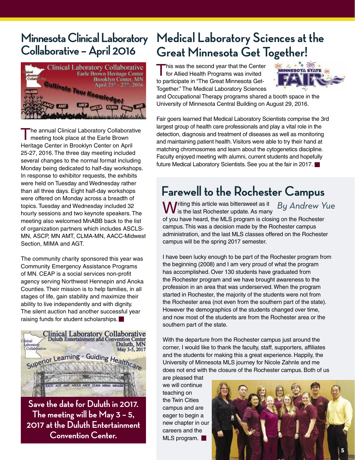### **Minnesota Clinical Laboratory Collaborative – April 2016**



The annual Clinical Laboratory Collaborative meeting took place at the Earle Brown Heritage Center in Brooklyn Center on April 25-27, 2016. The three day meeting included several changes to the normal format including Monday being dedicated to half-day workshops. In response to exhibitor requests, the exhibits were held on Tuesday and Wednesday rather than all three days. Eight half-day workshops were offered on Monday across a breadth of topics. Tuesday and Wednesday included 32 hourly sessions and two keynote speakers. The meeting also welcomed MnABB back to the list of organization partners which includes ASCLS-MN, ASCP, MN AMT, CLMA-MN, AACC-Midwest Section, MIMA and AGT.

The community charity sponsored this year was Community Emergency Assistance Programs of MN. CEAP is a social services non-profit agency serving Northwest Hennepin and Anoka Counties. Their mission is to help families, in all stages of life, gain stability and maximize their ability to live independently and with dignity. The silent auction had another successful year raising funds for student scholarships.



**Save the date for Duluth in 2017. The meeting will be May 3 – 5, 2017 at the Duluth Entertainment Convention Center.**

## **Medical Laboratory Sciences at the Great Minnesota Get Together!**

This was the second year that the Center for Allied Health Programs was invited to participate in "The Great Minnesota Get-Together." The Medical Laboratory Sciences



and Occupational Therapy programs shared a booth space in the University of Minnesota Central Building on August 29, 2016.

Fair goers learned that Medical Laboratory Scientists comprise the 3rd largest group of health care professionals and play a vital role in the detection, diagnosis and treatment of diseases as well as monitoring and maintaining patient health. Visitors were able to try their hand at matching chromosomes and learn about the cytogenetics discipline. Faculty enjoyed meeting with alumni, current students and hopefully future Medical Laboratory Scientists. See you at the fair in 2017.

## **Farewell to the Rochester Campus**

Writing this article was bittersweet as it By Andrew Yue<br>Wis the last Rochester update. As many of you have heard, the MLS program is closing on the Rochester campus. This was a decision made by the Rochester campus administration, and the last MLS classes offered on the Rochester campus will be the spring 2017 semester.

I have been lucky enough to be part of the Rochester program from the beginning (2008) and I am very proud of what the program has accomplished. Over 130 students have graduated from the Rochester program and we have brought awareness to the profession in an area that was underserved. When the program started in Rochester, the majority of the students were not from the Rochester area (not even from the southern part of the state). However the demographics of the students changed over time, and now most of the students are from the Rochester area or the southern part of the state.

With the departure from the Rochester campus just around the corner, I would like to thank the faculty, staff, supporters, affiliates and the students for making this a great experience. Happily, the University of Minnesota MLS journey for Nicole Zahnle and me does not end with the closure of the Rochester campus. Both of us

are pleased that we will continue teaching on the Twin Cities campus and are eager to begin a new chapter in our careers and the MLS program.

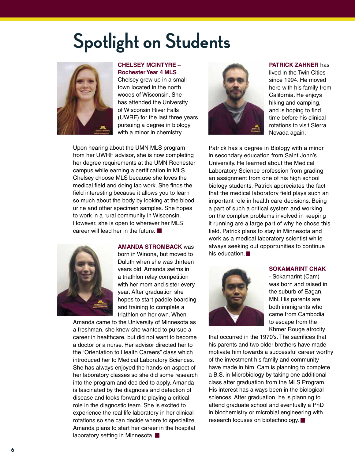# **Spotlight on Students**



#### **CHELSEY MCINTYRE – Rochester Year 4 MLS**

Chelsey grew up in a small town located in the north woods of Wisconsin. She has attended the University of Wisconsin River Falls (UWRF) for the last three years pursuing a degree in biology with a minor in chemistry.

Upon hearing about the UMN MLS program from her UWRF advisor, she is now completing her degree requirements at the UMN Rochester campus while earning a certification in MLS. Chelsey choose MLS because she loves the medical field and doing lab work. She finds the field interesting because it allows you to learn so much about the body by looking at the blood, urine and other specimen samples. She hopes to work in a rural community in Wisconsin. However, she is open to wherever her MLS career will lead her in the future.



**AMANDA STROMBACK** was

born in Winona, but moved to Duluth when she was thirteen years old. Amanda swims in a triathlon relay competition with her mom and sister every year. After graduation she hopes to start paddle boarding and training to complete a triathlon on her own. When

Amanda came to the University of Minnesota as a freshman, she knew she wanted to pursue a career in healthcare, but did not want to become a doctor or a nurse. Her advisor directed her to the "Orientation to Health Careers" class which introduced her to Medical Laboratory Sciences. She has always enjoyed the hands-on aspect of her laboratory classes so she did some research into the program and decided to apply. Amanda is fascinated by the diagnosis and detection of disease and looks forward to playing a critical role in the diagnostic team. She is excited to experience the real life laboratory in her clinical rotations so she can decide where to specialize. Amanda plans to start her career in the hospital laboratory setting in Minnesota.



#### **PATRICK ZAHNER** has

lived in the Twin Cities since 1994. He moved here with his family from California. He enjoys hiking and camping, and is hoping to find time before his clinical rotations to visit Sierra Nevada again.

Patrick has a degree in Biology with a minor in secondary education from Saint John's University. He learned about the Medical Laboratory Science profession from grading an assignment from one of his high school biology students. Patrick appreciates the fact that the medical laboratory field plays such an important role in health care decisions. Being a part of such a critical system and working on the complex problems involved in keeping it running are a large part of why he chose this field. Patrick plans to stay in Minnesota and work as a medical laboratory scientist while always seeking out opportunities to continue his education.



**SOKAMARINT CHAK**

- Sokamarint (Cam) was born and raised in the suburb of Eagan, MN. His parents are both immigrants who came from Cambodia to escape from the Khmer Rouge atrocity

that occurred in the 1970's. The sacrifices that his parents and two older brothers have made motivate him towards a successful career worthy of the investment his family and community have made in him. Cam is planning to complete a B.S. in Microbiology by taking one additional class after graduation from the MLS Program. His interest has always been in the biological sciences. After graduation, he is planning to attend graduate school and eventually a PhD in biochemistry or microbial engineering with research focuses on biotechnology.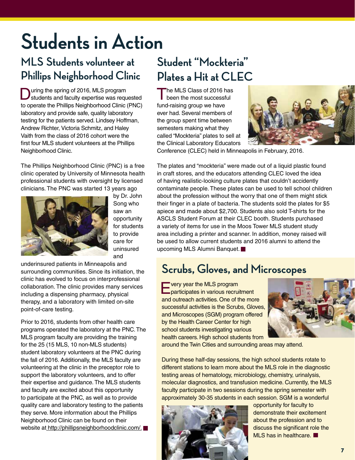# **Students in Action**

### **MLS Students volunteer at Phillips Neighborhood Clinic**

**During the spring of 2016, MLS program** students and faculty expertise was requested to operate the Phillips Neighborhood Clinic (PNC) laboratory and provide safe, quality laboratory testing for the patients served. Lindsey Hoffman, Andrew Richter, Victoria Schmitz, and Haley Vaith from the class of 2016 cohort were the first four MLS student volunteers at the Phillips Neighborhood Clinic.

The Phillips Neighborhood Clinic (PNC) is a free clinic operated by University of Minnesota health professional students with oversight by licensed clinicians. The PNC was started 13 years ago



by Dr. John Song who saw an opportunity for students to provide care for uninsured and

underinsured patients in Minneapolis and surrounding communities. Since its initiation, the clinic has evolved to focus on interprofessional collaboration. The clinic provides many services including a dispensing pharmacy, physical therapy, and a laboratory with limited on-site point-of-care testing.

Prior to 2016, students from other health care programs operated the laboratory at the PNC. The MLS program faculty are providing the training for the 25 (15 MLS, 10 non-MLS students) student laboratory volunteers at the PNC during the fall of 2016. Additionally, the MLS faculty are volunteering at the clinic in the preceptor role to support the laboratory volunteers, and to offer their expertise and guidance. The MLS students and faculty are excited about this opportunity to participate at the PNC, as well as to provide quality care and laboratory testing to the patients they serve. More information about the Phillips Neighborhood Clinic can be found on their website at http://phillipsneighborhoodclinic.com/.

## **Student "Mockteria" Plates a Hit at CLEC**

The MLS Class of 2016 has been the most successful fund-raising group we have ever had. Several members of the group spent time between semesters making what they called "Mockteria" plates to sell at the Clinical Laboratory Educators



Conference (CLEC) held in Minneapolis in February, 2016.

The plates and "mockteria" were made out of a liquid plastic found in craft stores, and the educators attending CLEC loved the idea of having realistic-looking culture plates that couldn't accidently contaminate people. These plates can be used to tell school children about the profession without the worry that one of them might stick their finger in a plate of bacteria. The students sold the plates for \$5 apiece and made about \$2,700. Students also sold T-shirts for the ASCLS Student Forum at their CLEC booth. Students purchased a variety of items for use in the Moos Tower MLS student study area including a printer and scanner. In addition, money raised will be used to allow current students and 2016 alumni to attend the upcoming MLS Alumni Banquet.

### **Scrubs, Gloves, and Microscopes**

Every year the MLS program participates in various recruitment and outreach activities. One of the more successful activities is the Scrubs, Gloves, and Microscopes (SGM) program offered by the Health Career Center for high school students investigating various health careers. High school students from



around the Twin Cities and surrounding areas may attend.

During these half-day sessions, the high school students rotate to different stations to learn more about the MLS role in the diagnostic testing areas of hematology, microbiology, chemistry, urinalysis, molecular diagnostics, and transfusion medicine. Currently, the MLS faculty participate in two sessions during the spring semester with approximately 30-35 students in each session. SGM is a wonderful



opportunity for faculty to demonstrate their excitement about the profession and to discuss the significant role the MLS has in healthcare.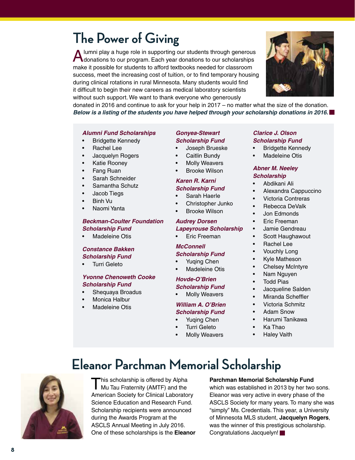# **The Power of Giving**

A lumni play a huge role in supporting our students through generous<br>
donations to our program. Each year donations to our scholarships make it possible for students to afford textbooks needed for classroom success, meet the increasing cost of tuition, or to find temporary housing during clinical rotations in rural Minnesota. Many students would find it difficult to begin their new careers as medical laboratory scientists without such support. We want to thank everyone who generously



donated in 2016 and continue to ask for your help in 2017 – no matter what the size of the donation. *Below is a listing of the students you have helped through your scholarship donations in 2016.*

#### *Alumni Fund Scholarships*

- • Bridgette Kennedy
- • Rachel Lee
- Jacquelyn Rogers
- Katie Rooney
- Fang Ruan
- Sarah Schneider
- Samantha Schutz
- • Jacob Tiegs
- **Binh Vu**
- Naomi Yanta

#### *Beckman-Coulter Foundation Scholarship Fund*

Madeleine Otis

#### *Constance Bakken Scholarship Fund*

• Turri Geleto

#### *Yvonne Chenoweth Cooke Scholarship Fund*

- • Shequaya Broadus
- Monica Halbur
- Madeleine Otis

#### *Gonyea-Stewart Scholarship Fund*

- Joseph Brueske
- Caitlin Bundy
- **Molly Weavers**
- **Brooke Wilson**

#### *Karen R. Karni Scholarship Fund*

- • Sarah Haerle
- Christopher Junko
- **Brooke Wilson**

### *Audrey Dorsen*

- *Lapeyrouse Scholarship*
- • Eric Freeman

### *McConnell*

#### *Scholarship Fund*

- • Yuqing Chen
- **Madeleine Otis**

### *Hovde-O'Brien*

- *Scholarship Fund*
- **Molly Weavers**

#### *William A. O'Brien Scholarship Fund*

- Yuqing Chen
- Turri Geleto
- **Molly Weavers**
- *Clarice J. Olson Scholarship Fund*
- • Bridgette Kennedy
- Madeleine Otis

#### *Abner M. Neeley Scholarship*

- • Abdikani Ali
- • Alexandra Cappuccino
- • Victoria Contreras
- • Rebecca DeValk
- **Jon Edmonds**
- • Eric Freeman
- • Jamie Gendreau
- • Scott Haughawout
- • Rachel Lee
- **Vouchly Long**
- • Kyle Matheson
- Chelsey McIntyre
- Nam Nguyen
- • Todd Pias
- • Jacqueline Salden
- • Miranda Scheffler
- • Victoria Schmitz
- • Adam Snow
- • Harumi Tanikawa
- • Ka Thao
- **Haley Vaith**

# **Eleanor Parchman Memorial Scholarship**



This scholarship is offered by Alpha<br>
Mu Tau Fraternity (AMTF) and the American Society for Clinical Laboratory Science Education and Research Fund. Scholarship recipients were announced during the Awards Program at the ASCLS Annual Meeting in July 2016. One of these scholarships is the **Eleanor** 

#### **Parchman Memorial Scholarship Fund**

which was established in 2013 by her two sons. Eleanor was very active in every phase of the ASCLS Society for many years. To many she was "simply" Ms. Credentials. This year, a University of Minnesota MLS student, **Jacquelyn Rogers**, was the winner of this prestigious scholarship. Congratulations Jacquelyn!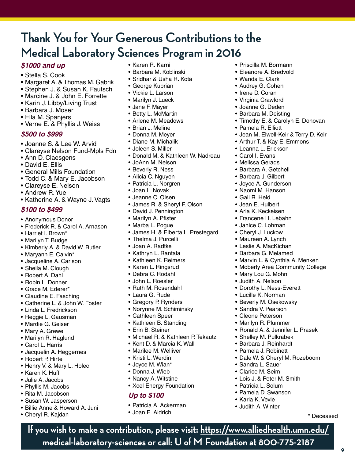## **Thank You for Your Generous Contributions to the Medical Laboratory Sciences Program in 2016**

### *\$1000 and up*

- Stella S. Cook
- Margaret A. & Thomas M. Gabrik
- Stephen J. & Susan K. Fautsch
- Marcine J. & John E. Forrette
- Karin J. Libby/Living Trust
- • Barbara J. Moser
- Ella M. Spanjers
- • Verne E. & Phyllis J. Weiss

#### *\$500 to \$999*

- • Joanne S. & Lee W. Arvid
- Clareyse Nelson Fund-Mpls Fdn
- Ann D. Claesgens
- • David E. Ellis
- General Mills Foundation
- Todd C. & Mary E. Jacobson
- • Clareyse E. Nelson
- Andrew R. Yue
- Katherine A. & Wayne J. Vagts

### *\$100 to \$499*

- • Anonymous Donor
- • Frederick R. & Carol A. Arnason
- • Harriet I. Brown\*
- Marilyn T. Budge
- • Kimberly A. & David W. Butler
- Maryann E. Calvin\*
- • Jacqueline A. Carlson
- Sheila M. Clough
- • Robert A. Dahl
- • Robin L. Donner
- Grace M. Ederer\*
- • Claudine E. Fasching
- • Catherine L. & John W. Foster
- • Linda L. Fredrickson
- • Reggie L. Gausman
- • Mardie G. Geiser
- • Mary A. Grewe
- • Marilyn R. Haglund
- • Carol L. Harris
- Jacquelin A. Heggernes
- • Robert P. Hirte
- Henry V. & Mary L. Holec
- • Karen K. Huff
- • Julie A. Jacobs
- • Phyllis M. Jacobs
- • Rita M. Jacobson
- • Susan W. Jasperson
- • Billie Anne & Howard A. Juni
- • Cheryl R. Kajdan
- • Karen R. Karni
- • Barbara M. Koblinski
- • Sridhar & Usha R. Kota

• Priscilla M. Bormann • Eleanore A. Bredvold • Wanda E. Clark • Audrey G. Cohen • Irene D. Coran • Virginia Crawford • Joanne G. Deden • Barbara M. Deisting

• Pamela R. Elliott

• Leanna L. Erickson • Carol I. Evans • Melissa Gerads • Barbara A. Getchell • Barbara J. Gilbert • Joyce A. Gunderson • Naomi M. Hanson • Gail R. Held • Jean E. Hulbert • Arla K. Keckeisen • Francene H. Lebahn • Janice C. Lohman • Cheryl J. Luckow • Maureen A. Lynch • Leslie A. MacKichan • Barbara G. Melamed

• Timothy E. & Carolyn E. Donovan

• Jean M. Elwell-Keir & Terry D. Keir • Arthur T. & Kay E. Emmons

• Marvin L. & Cynthia A. Menken • Moberly Area Community College

• Ronald A. & Jennifer L. Prasek

• Dale W. & Cheryl M. Rozeboom

• Mary Lou G. Mohn • Judith A. Nelson

• Dorothy L. Ness-Everett • Lucille K. Norman • Beverly M. Osekowsky • Sandra V. Pearson • Cleone Peterson • Marilyn R. Plummer

• Shelley M. Pulkrabek • Barbara J. Reinhardt • Pamela J. Robinett

• Lois J. & Peter M. Smith • Patricia L. Solum • Pamela D. Swanson • Karla K. Vevle • Judith A. Winter

• Sandra L. Sauer • Clarice M. Seim

- • George Kuprian
- • Vickie L. Larson
- Marilyn J. Lueck
- • Jane F. Mayer
- • Betty L. McMartin
- • Arlene M. Meadows
- Brian J. Meline
- • Donna M. Meyer
- • Diane M. Michalik
- • Joleen S. Miller
- Donald M. & Kathleen W. Nadreau
- • JoAnn M. Nelson
- Beverly R. Ness
- Alicia C. Nguyen
- • Patricia L. Norgren
- • Joan L. Novak
- • Jeanne C. Olsen
- • James R. & Sheryl F. Olson
- David J. Pennington
- • Marilyn A. Pfister
- Marba L. Pogue
- • James H. & Elberta L. Prestegard
- • Thelma J. Purcelli
- • Joan A. Radtke
- • Kathryn L. Rantala
- • Kathleen K. Reimers
- • Karen L. Ringsrud
- • Debra C. Rodahl
- • John L. Roesler
- Ruth M. Rosendahl
- • Laura G. Rude
- Gregory P. Rynders
- • Norynne M. Schiminsky
- • Cathleen Speer
- • Kathleen B. Standing
- Erin B. Steiner
- Michael R. & Kathleen P. Tekautz

**If you wish to make a contribution, please visit: https://www.alliedhealth.umn.edu/**

**medical-laboratory-sciences or call: U of M Foundation at 800-775-2187**

**9**

\* Deceased

- Kent D. & Marcia K. Wall
- • Marilee M. Welliver
- • Kristi L. Werdin
- Joyce M. Wian\*
- • Donna J. Wieb
- Nancy A. Witstine
- Xcel Energy Foundation

### *Up to \$100*

- • Patricia A. Ackerman
- • Joan E. Aldrich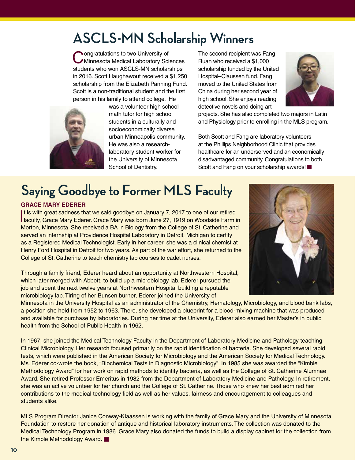# **ASCLS-MN Scholarship Winners**

Congratulations to two University of<br>
CMinnesota Medical Laboratory Sciences students who won ASCLS-MN scholarships in 2016. Scott Haughawout received a \$1,250 scholarship from the Elizabeth Panning Fund. Scott is a non-traditional student and the first person in his family to attend college. He



was a volunteer high school math tutor for high school students in a culturally and socioeconomically diverse urban Minneapolis community. He was also a researchlaboratory student worker for the University of Minnesota, School of Dentistry.

The second recipient was Fang Ruan who received a \$1,000 scholarship funded by the United Hospital–Claussen fund. Fang moved to the United States from China during her second year of high school. She enjoys reading detective novels and doing art



projects. She has also completed two majors in Latin and Physiology prior to enrolling in the MLS program.

Both Scott and Fang are laboratory volunteers at the Phillips Neighborhood Clinic that provides healthcare for an underserved and an economically disadvantaged community. Congratulations to both Scott and Fang on your scholarship awards!

# **Saying Goodbye to Former MLS Faculty**

#### **GRACE MARY EDERER**

It is with great sadness that we said goodbye on January 7, 2017 to one of our retired<br>faculty, Grace Mary Ederer. Grace Mary was born June 27, 1919 on Woodside Farm in It is with great sadness that we said goodbye on January 7, 2017 to one of our retired Morton, Minnesota. She received a BA in Biology from the College of St. Catherine and served an internship at Providence Hospital Laboratory in Detroit, Michigan to certify as a Registered Medical Technologist. Early in her career, she was a clinical chemist at Henry Ford Hospital in Detroit for two years. As part of the war effort, she returned to the College of St. Catherine to teach chemistry lab courses to cadet nurses.

Through a family friend, Ederer heard about an opportunity at Northwestern Hospital, which later merged with Abbott, to build up a microbiology lab. Ederer pursued the job and spent the next twelve years at Northwestern Hospital building a reputable microbiology lab. Tiring of her Bunsen burner, Ederer joined the University of



Minnesota in the University Hospital as an administrator of the Chemistry, Hematology, Microbiology, and blood bank labs, a position she held from 1952 to 1963. There, she developed a blueprint for a blood-mixing machine that was produced and available for purchase by laboratories. During her time at the University, Ederer also earned her Master's in public health from the School of Public Health in 1962.

In 1967, she joined the Medical Technology Faculty in the Department of Laboratory Medicine and Pathology teaching Clinical Microbiology. Her research focused primarily on the rapid identification of bacteria. She developed several rapid tests, which were published in the American Society for Microbiology and the American Society for Medical Technology. Ms. Ederer co-wrote the book, "Biochemical Tests in Diagnostic Microbiology". In 1985 she was awarded the "Kimble Methodology Award" for her work on rapid methods to identify bacteria, as well as the College of St. Catherine Alumnae Award. She retired Professor Emeritus in 1982 from the Department of Laboratory Medicine and Pathology. In retirement, she was an active volunteer for her church and the College of St. Catherine. Those who knew her best admired her contributions to the medical technology field as well as her values, fairness and encouragement to colleagues and students alike.

MLS Program Director Janice Conway-Klaassen is working with the family of Grace Mary and the University of Minnesota Foundation to restore her donation of antique and historical laboratory instruments. The collection was donated to the Medical Technology Program in 1986. Grace Mary also donated the funds to build a display cabinet for the collection from the Kimble Methodology Award.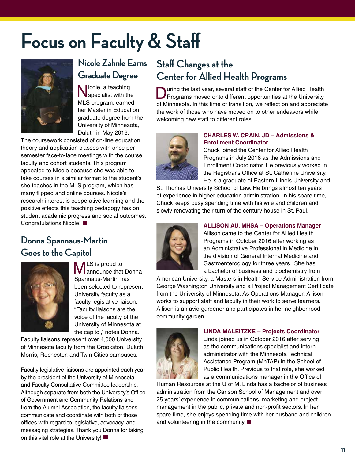# **Focus on Faculty & Staff**



### **Nicole Zahnle Earns Graduate Degree**

licole, a teaching specialist with the MLS program, earned her Master in Education graduate degree from the University of Minnesota, Duluth in May 2016.

The coursework consisted of on-line education theory and application classes with once per semester face-to-face meetings with the course faculty and cohort students. This program appealed to Nicole because she was able to take courses in a similar format to the student's she teaches in the MLS program, which has many flipped and online courses. Nicole's research interest is cooperative learning and the positive effects this teaching pedagogy has on student academic progress and social outcomes. Congratulations Nicole!

### **Donna Spannaus-Martin Goes to the Capitol**



**MLS** is proud to<br>**Mannounce that Donna** Spannaus-Martin has been selected to represent University faculty as a faculty legislative liaison. "Faculty liaisons are the voice of the faculty of the University of Minnesota at the capitol," notes Donna.

Faculty liaisons represent over 4,000 University of Minnesota faculty from the Crookston, Duluth, Morris, Rochester, and Twin Cities campuses.

Faculty legislative liaisons are appointed each year by the president of the University of Minnesota and Faculty Consultative Committee leadership. Although separate from both the University's Office of Government and Community Relations and from the Alumni Association, the faculty liaisons communicate and coordinate with both of those offices with regard to legislative, advocacy, and messaging strategies. Thank you Donna for taking on this vital role at the University!

### **Staff Changes at the Center for Allied Health Programs**

**D**uring the last year, several staff of the Center for Allied Health Programs moved onto different opportunities at the University of Minnesota. In this time of transition, we reflect on and appreciate the work of those who have moved on to other endeavors while welcoming new staff to different roles.



#### **CHARLES W. CRAIN, JD – Admissions & Enrollment Coordinator**

Chuck joined the Center for Allied Health Programs in July 2016 as the Admissions and Enrollment Coordinator. He previously worked in the Registrar's Office at St. Catherine University. He is a graduate of Eastern Illinois University and

St. Thomas University School of Law. He brings almost ten years of experience in higher education administration. In his spare time, Chuck keeps busy spending time with his wife and children and slowly renovating their turn of the century house in St. Paul.



Allison came to the Center for Allied Health Programs in October 2016 after working as an Administrative Professional in Medicine in the division of General Internal Medicine and Gastroenteroglogy for three years. She has a bachelor of business and biochemistry from

**ALLISON AU, MHSA – Operations Manager**

American University, a Masters in Health Service Administration from George Washington University and a Project Management Certificate from the University of Minnesota. As Operations Manager, Allison works to support staff and faculty in their work to serve learners. Allison is an avid gardener and participates in her neighborhood community garden.



**LINDA MALEITZKE – Projects Coordinator**

Linda joined us in October 2016 after serving as the communications specialist and intern administrator with the Minnesota Technical Assistance Program (MnTAP) in the School of Public Health. Previous to that role, she worked as a communications manager in the Office of

Human Resources at the U of M. Linda has a bachelor of business administration from the Carlson School of Management and over 25 years' experience in communications, marketing and project management in the public, private and non-profit sectors. In her spare time, she enjoys spending time with her husband and children and volunteering in the community.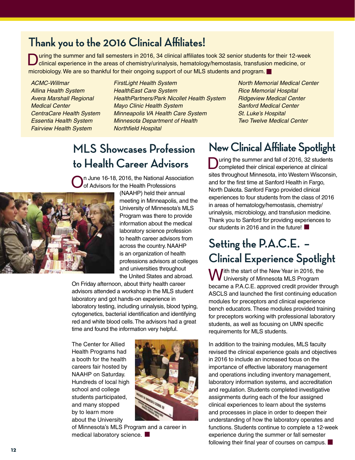### **Thank you to the 2016 Clinical Affiliates!**

During the summer and fall semesters in 2016, 34 clinical affiliates took 32 senior students for their 12-week clinical experience in the areas of chemistry/urinalysis, hematology/hemostasis, transfusion medicine, or microbiology. We are so thankful for their ongoing support of our MLS students and program.

*ACMC-Willmar Allina Health System Avera Marshall Regional Medical Center CentraCare Health System Essentia Health System Fairview Health System*

*FirstLight Health System HealthEast Care System HealthPartners/Park Nicollet Health System Mayo Clinic Health System Minneapolis VA Health Care System Minnesota Department of Health Northfield Hospital*

*North Memorial Medical Center Rice Memorial Hospital Ridgeview Medical Center Sanford Medical Center St. Luke's Hospital Two Twelve Medical Center*

## **MLS Showcases Profession to Health Career Advisors**

n June 16-18, 2016, the National Association of Advisors for the Health Professions



(NAAHP) held their annual meeting in Minneapolis, and the University of Minnesota's MLS Program was there to provide information about the medical laboratory science profession to health career advisors from across the country. NAAHP is an organization of health professions advisors at colleges and universities throughout the United States and abroad.

On Friday afternoon, about thirty health career advisors attended a workshop in the MLS student laboratory and got hands-on experience in laboratory testing, including urinalysis, blood typing, cytogenetics, bacterial identification and identifying red and white blood cells. The advisors had a great time and found the information very helpful.

The Center for Allied Health Programs had a booth for the health careers fair hosted by NAAHP on Saturday. Hundreds of local high school and college students participated, and many stopped by to learn more about the University



of Minnesota's MLS Program and a career in medical laboratory science.

### **New Clinical Affiliate Spotlight**

uring the summer and fall of 2016, 32 students completed their clinical experience at clinical sites throughout Minnesota, into Western Wisconsin, and for the first time at Sanford Health in Fargo, North Dakota. Sanford Fargo provided clinical experiences to four students from the class of 2016 in areas of hematology/hemostasis, chemistry/ urinalysis, microbiology, and transfusion medicine. Thank you to Sanford for providing experiences to our students in 2016 and in the future!

### **Setting the P.A.C.E. – Clinical Experience Spotlight**

With the start of the New Year in 2016, the<br>Wuniversity of Minnesota MLS Program became a P.A.C.E. approved credit provider through ASCLS and launched the first continuing education modules for preceptors and clinical experience bench educators. These modules provided training for preceptors working with professional laboratory students, as well as focusing on UMN specific requirements for MLS students.

In addition to the training modules, MLS faculty revised the clinical experience goals and objectives in 2016 to include an increased focus on the importance of effective laboratory management and operations including inventory management, laboratory information systems, and accreditation and regulation. Students completed investigative assignments during each of the four assigned clinical experiences to learn about the systems and processes in place in order to deepen their understanding of how the laboratory operates and functions. Students continue to complete a 12-week experience during the summer or fall semester following their final year of courses on campus.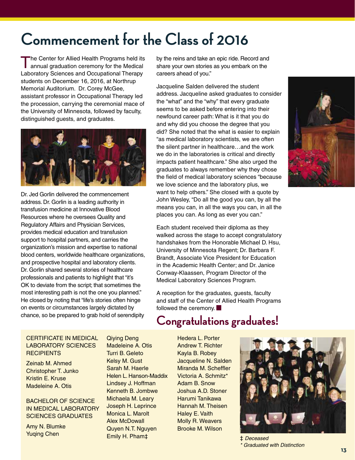# **Commencement for the Class of 2016**

The Center for Allied Health Programs held its annual graduation ceremony for the Medical Laboratory Sciences and Occupational Therapy students on December 16, 2016, at Northrup Memorial Auditorium. Dr. Corey McGee, assistant professor in Occupational Therapy led the procession, carrying the ceremonial mace of the University of Minnesota, followed by faculty, distinguished guests, and graduates.



Dr. Jed Gorlin delivered the commencement address. Dr. Gorlin is a leading authority in transfusion medicine at Innovative Blood Resources where he oversees Quality and Regulatory Affairs and Physician Services, provides medical education and transfusion support to hospital partners, and carries the organization's mission and expertise to national blood centers, worldwide healthcare organizations, and prospective hospital and laboratory clients. Dr. Gorlin shared several stories of healthcare professionals and patients to highlight that "it's OK to deviate from the script; that sometimes the most interesting path is not the one you planned." He closed by noting that "life's stories often hinge on events or circumstances largely dictated by chance, so be prepared to grab hold of serendipity

by the reins and take an epic ride. Record and share your own stories as you embark on the careers ahead of you."

Jacqueline Salden delivered the student address. Jacqueline asked graduates to consider the "what" and the "why" that every graduate seems to be asked before entering into their newfound career path: What is it that you do and why did you choose the degree that you did? She noted that the what is easier to explain "as medical laboratory scientists, we are often the silent partner in healthcare…and the work we do in the laboratories is critical and directly impacts patient healthcare." She also urged the graduates to always remember why they chose the field of medical laboratory sciences "because we love science and the laboratory plus, we want to help others." She closed with a quote by John Wesley, "Do all the good you can, by all the means you can, in all the ways you can, in all the places you can. As long as ever you can."

Each student received their diploma as they walked across the stage to accept congratulatory handshakes from the Honorable Michael D. Hsu, University of Minnesota Regent; Dr. Barbara F. Brandt, Associate Vice President for Education in the Academic Health Center; and Dr. Janice Conway-Klaassen, Program Director of the Medical Laboratory Sciences Program.

A reception for the graduates, guests, faculty and staff of the Center of Allied Health Programs followed the ceremony.

### **Congratulations graduates!**

#### CERTIFICATE IN MEDICAL LABORATORY SCIENCES **RECIPIENTS**

Zeinab M. Ahmed Christopher T. Junko Kristin E. Kruse Madeleine A. Otis

BACHELOR OF SCIENCE IN MEDICAL LABORATORY SCIENCES GRADUATES

Amy N. Blumke Yuqing Chen

Qiying Deng Madeleine A. Otis Turri B. Geleto Kelsy M. Gust Sarah M. Haerle Helen L. Hanson-Maddix Lindsey J. Hoffman Kenneth B. Jombwe Michaela M. Leary Joseph H. Leprince Monica L. Marolt Alex McDowall Quyen N.T. Nguyen Emily H. Pham‡

Hedera L. Porter Andrew T. Richter Kayla B. Robey Jacqueline N. Salden Miranda M. Scheffler Victoria A. Schmitz\* Adam B. Snow Joshua A.D. Stoner Harumi Tanikawa Hannah M. Theisen Haley E. Vaith Molly R. Weavers Brooke M. Wilson



‡ *Deceased \* Graduated with Distinction*

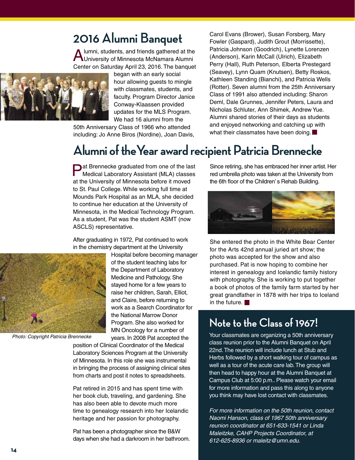### **2016 Alumni Banquet**

Iumni, students, and friends gathered at the University of Minnesota McNamara Alumni Center on Saturday April 23, 2016. The banquet



began with an early social hour allowing guests to mingle with classmates, students, and faculty. Program Director Janice Conway-Klaassen provided updates for the MLS Program. We had 16 alumni from the

50th Anniversary Class of 1966 who attended including: Jo Anne Biros (Nordine), Joan Davis, Carol Evans (Brower), Susan Forsberg, Mary Fowler (Gaspard), Judith Grout (Morrissette), Patricia Johnson (Goodrich), Lynette Lorenzen (Anderson), Karin McCall (Ulrich), Elizabeth Perry (Hall), Ruth Peterson, Elberta Prestegard (Seavey), Lynn Quam (Knutsen), Betty Roskos, Kathleen Standing (Bianchi), and Patricia Wells (Rotter). Seven alumni from the 25th Anniversary Class of 1991 also attended including: Sharon Deml, Dale Grunnes, Jennifer Peters, Laura and Nicholas Schluter, Ann Shimek, Andrew Yue. Alumni shared stories of their days as students and enjoyed networking and catching up with what their classmates have been doing.

## **Alumni of theYear award recipient Patricia Brennecke**

**Pat Brennecke graduated from one of the last** Medical Laboratory Assistant (MLA) classes at the University of Minnesota before it moved to St. Paul College. While working full time at Mounds Park Hospital as an MLA, she decided to continue her education at the University of Minnesota, in the Medical Technology Program. As a student, Pat was the student ASMT (now ASCLS) representative.

After graduating in 1972, Pat continued to work in the chemistry department at the University



*Photo: Copyright Patricia Brennecke*

Hospital before becoming manager of the student teaching labs for the Department of Laboratory Medicine and Pathology. She stayed home for a few years to raise her children, Sarah, Elliot, and Claire, before returning to work as a Search Coordinator for the National Marrow Donor Program. She also worked for MN Oncology for a number of years. In 2008 Pat accepted the

position of Clinical Coordinator of the Medical Laboratory Sciences Program at the University of Minnesota. In this role she was instrumental in bringing the process of assigning clinical sites from charts and post it notes to spreadsheets.

Pat retired in 2015 and has spent time with her book club, traveling, and gardening. She has also been able to devote much more time to genealogy research into her Icelandic heritage and her passion for photography.

Pat has been a photographer since the B&W days when she had a darkroom in her bathroom.

Since retiring, she has embraced her inner artist. Her red umbrella photo was taken at the University from the 6th floor of the Children' s Rehab Building.



She entered the photo in the White Bear Center for the Arts 42nd annual juried art show; the photo was accepted for the show and also purchased. Pat is now hoping to combine her interest in genealogy and Icelandic family history with photography. She is working to put together a book of photos of the family farm started by her great grandfather in 1878 with her trips to Iceland in the future.  $\blacksquare$ 

### **Note to the Class of 1967!**

Your classmates are organizing a 50th anniversary class reunion prior to the Alumni Banquet on April 22nd. The reunion will include lunch at Stub and Herbs followed by a short walking tour of campus as well as a tour of the acute care lab. The group will then head to happy hour at the Alumni Banquet at Campus Club at 5:00 p.m.. Please watch your email for more information and pass this along to anyone you think may have lost contact with classmates.

*For more information on the 50th reunion, contact Naomi Hanson, class of 1967 50th anniversary reunion coordinator at 651-633-1541 or Linda Maleitzke, CAHP Projects Coordinator, at 612-625-8936 or maleitz@umn.edu.*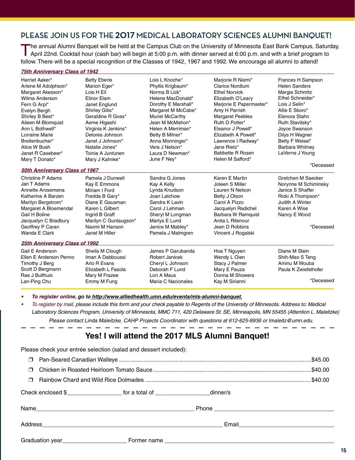### **PLEASE JOIN US FOR THE 2017 MEDICAL LABORATORY SCIENCES ALUMNI BANQUET!**

The annual Alumni Banquet will be held at the Campus Club on the University of Minnesota East Bank Campus, Saturday,<br>April 22nd. Cocktail hour (cash bar) will begin at 5:00 p.m. with dinner served at 6:00 p.m. and with a b follow. There will be a special recognition of the Classes of 1942, 1967 and 1992. We encourage all alumni to attend!

#### *75th Anniversary Class of 1942*

| Harriet Aaker*<br>Arlene M Adolphson*<br>Margaret Akesson*<br>Wilma Anderson<br>Fern G Arpi*<br>Evelyn Bergh<br>Shirley B Best*<br>Aileen M Blomquist<br>Ann L Bothwell*<br>Lorraine Marie<br>Breitenbucher*<br>Alice W Bush<br>Janet R Casebeer*<br>Mary T Donato* | <b>Betty Eberle</b><br>Marion Eger*<br>Lois H Eil<br>Elinor Elam<br>Janet Englund<br>Shirley Gitis*<br>Geraldine R Goss*<br>Aeme Higashi<br>Virginia K Jenkins*<br>Delores Johnson<br>Janet J Johnson*<br>Natalie Jones*<br>Toinie A Juntunen<br>Mary J Kahnke* | Lois L Knoche*<br>Phyllis Krigbaum*<br>Norma B Lick*<br>Helene MacDonald*<br>Dorothy E Marshall*<br>Margaret M McCabe*<br><b>Muriel McCarthy</b><br>Jean M McMahon*<br>Helen A Merriman*<br>Betty B Milner*<br>Anna Monninger*<br>Vera J Nelson*<br>Laura D Newman*<br>June F Ney* | Marjorie R Niemi*<br>Clarice Nordlum<br><b>Ethel Norvick</b><br>Elizabeth O'Leary<br>Marjorie E Papermaster*<br>Amy H Parrish<br><b>Margaret Peebles</b><br>Ruth D Potter*<br>Eleanor J Powell*<br>Elizabeth A Powell*<br>Lawrence I Radway*<br>Jane Rietz*<br>Babbette R Rosen<br>Helen M Safford* | Frances H Sampson<br><b>Helen Sanders</b><br>Margie Schmitz<br>Ethel Schneider*<br>Lois J Selin*<br>Allie E Skoro*<br>Elenora Stahn<br>Ruth Stavitsky*<br>Joyce Swanson<br>Dilys H Wagner<br>Betty F Weisel*<br><b>Barbara Whitney</b><br>LaVerne J Young<br>*Deceased |  |
|---------------------------------------------------------------------------------------------------------------------------------------------------------------------------------------------------------------------------------------------------------------------|-----------------------------------------------------------------------------------------------------------------------------------------------------------------------------------------------------------------------------------------------------------------|------------------------------------------------------------------------------------------------------------------------------------------------------------------------------------------------------------------------------------------------------------------------------------|-----------------------------------------------------------------------------------------------------------------------------------------------------------------------------------------------------------------------------------------------------------------------------------------------------|------------------------------------------------------------------------------------------------------------------------------------------------------------------------------------------------------------------------------------------------------------------------|--|
| <b>50th Anniversary Class of 1967</b>                                                                                                                                                                                                                               |                                                                                                                                                                                                                                                                 |                                                                                                                                                                                                                                                                                    |                                                                                                                                                                                                                                                                                                     |                                                                                                                                                                                                                                                                        |  |
| Christine P Adams                                                                                                                                                                                                                                                   | Pamela J Dunwell                                                                                                                                                                                                                                                | Sandra G Jones                                                                                                                                                                                                                                                                     | Karen E Martin                                                                                                                                                                                                                                                                                      | Gretchen M Saecker                                                                                                                                                                                                                                                     |  |
| Jan T Adams                                                                                                                                                                                                                                                         | Kay E Emmons                                                                                                                                                                                                                                                    | Kay A Kelly                                                                                                                                                                                                                                                                        | Joleen S Miller                                                                                                                                                                                                                                                                                     | Norynne M Schiminsky                                                                                                                                                                                                                                                   |  |
| Annette Arosemena                                                                                                                                                                                                                                                   | Miriam I Ford                                                                                                                                                                                                                                                   | Lynda Knudson                                                                                                                                                                                                                                                                      | Lauren N Nelson                                                                                                                                                                                                                                                                                     | Janice S Shaffer                                                                                                                                                                                                                                                       |  |
| Katherine A Barzen                                                                                                                                                                                                                                                  | Fredda B Gary*                                                                                                                                                                                                                                                  | Joan Latchow                                                                                                                                                                                                                                                                       | Betty J Olson                                                                                                                                                                                                                                                                                       | Ricki A Thompson*                                                                                                                                                                                                                                                      |  |
| Marilyn Bergstrom*                                                                                                                                                                                                                                                  | Diane E Gausman                                                                                                                                                                                                                                                 | Sandra K Lavin                                                                                                                                                                                                                                                                     | Carol A Pizzo                                                                                                                                                                                                                                                                                       | Judith A Winter                                                                                                                                                                                                                                                        |  |
| Margaret A Bloemendal                                                                                                                                                                                                                                               | Karen L Gilbert                                                                                                                                                                                                                                                 | Carol J Lehman                                                                                                                                                                                                                                                                     | Jacquelyn Radichel                                                                                                                                                                                                                                                                                  | Karen A Wise                                                                                                                                                                                                                                                           |  |
| Gail H Boline                                                                                                                                                                                                                                                       | Ingrid B Graff                                                                                                                                                                                                                                                  | Sheryl M Longman                                                                                                                                                                                                                                                                   | Barbara W Ramquist                                                                                                                                                                                                                                                                                  | Nancy E Wood                                                                                                                                                                                                                                                           |  |
| Jacquelyn C Bradbury                                                                                                                                                                                                                                                | Marilyn C Gunlaugson*                                                                                                                                                                                                                                           | Marlys E Lund                                                                                                                                                                                                                                                                      | Anita L Ritenour                                                                                                                                                                                                                                                                                    |                                                                                                                                                                                                                                                                        |  |
| Geoffrey P Caran                                                                                                                                                                                                                                                    | Naomi M Hanson                                                                                                                                                                                                                                                  | Janice M Mabley*                                                                                                                                                                                                                                                                   | Jean D Robbins                                                                                                                                                                                                                                                                                      | *Deceased                                                                                                                                                                                                                                                              |  |
| Wanda E Clark                                                                                                                                                                                                                                                       | Janet M Hiller                                                                                                                                                                                                                                                  | Pamela J Malmgren                                                                                                                                                                                                                                                                  | Vincent J Rogalski                                                                                                                                                                                                                                                                                  |                                                                                                                                                                                                                                                                        |  |
| <b>25th Anniversary Class of 1992</b>                                                                                                                                                                                                                               |                                                                                                                                                                                                                                                                 |                                                                                                                                                                                                                                                                                    |                                                                                                                                                                                                                                                                                                     |                                                                                                                                                                                                                                                                        |  |
| Gail E Anderson                                                                                                                                                                                                                                                     | Sheila M Clough                                                                                                                                                                                                                                                 | James P Garubanda                                                                                                                                                                                                                                                                  | Hoa T Nguyen                                                                                                                                                                                                                                                                                        | Diane M Stein                                                                                                                                                                                                                                                          |  |
| Ellen E Anderson Penno                                                                                                                                                                                                                                              | Iman A Dabboussi                                                                                                                                                                                                                                                | Robert Janicek                                                                                                                                                                                                                                                                     | Wendy L Oien                                                                                                                                                                                                                                                                                        | Shih-Mao S Teng                                                                                                                                                                                                                                                        |  |
| Timothy J Berg                                                                                                                                                                                                                                                      | Arlo R Evans                                                                                                                                                                                                                                                    | Cheryl L Johnson                                                                                                                                                                                                                                                                   | Stacy J Palmer                                                                                                                                                                                                                                                                                      | Aminu M Wouba                                                                                                                                                                                                                                                          |  |
| Scott D Bergmann                                                                                                                                                                                                                                                    | Elizabeth L Fasola                                                                                                                                                                                                                                              | Deborah F Lund                                                                                                                                                                                                                                                                     | Mary E Pauza                                                                                                                                                                                                                                                                                        | Paula K Zwiefelhofer                                                                                                                                                                                                                                                   |  |
| Rae J Bulthuis                                                                                                                                                                                                                                                      | Mary M Frazee                                                                                                                                                                                                                                                   | Lori A Maus                                                                                                                                                                                                                                                                        | Donna M Showers                                                                                                                                                                                                                                                                                     |                                                                                                                                                                                                                                                                        |  |
| Lan-Ping Chu                                                                                                                                                                                                                                                        | Emmy M Fung                                                                                                                                                                                                                                                     | Maria C Nacionales                                                                                                                                                                                                                                                                 | Kay M Sirianni                                                                                                                                                                                                                                                                                      | *Deceased                                                                                                                                                                                                                                                              |  |

To register online, go to http://www.alliedhealth.umn.edu/events/mls-alumni-banquet.

To register by mail, please include this form and your check payable to Regents of the University of Minnesota. Address to: Medical *Laboratory Sciences Program, University of Minnesota, MMC 711, 420 Delaware St. SE, Minneapolis, MN 55455 (Attention L. Maleitzke) Please contact Linda Maleitzke, CAHP Projects Coordinator with questions at 612-625-8936 or lmaleitz@umn.edu.*

### **Yes! I will attend the 2017 MLS Alumni Banquet!**

| Please check your entrée selection (salad and dessert included): |                                                                                        |  |  |  |  |  |  |
|------------------------------------------------------------------|----------------------------------------------------------------------------------------|--|--|--|--|--|--|
| ⊓                                                                |                                                                                        |  |  |  |  |  |  |
| $\Box$                                                           |                                                                                        |  |  |  |  |  |  |
| $\Box$                                                           |                                                                                        |  |  |  |  |  |  |
|                                                                  | Check enclosed \$_______________________ for a total of ______________________dinner/s |  |  |  |  |  |  |
|                                                                  |                                                                                        |  |  |  |  |  |  |
|                                                                  |                                                                                        |  |  |  |  |  |  |
|                                                                  |                                                                                        |  |  |  |  |  |  |